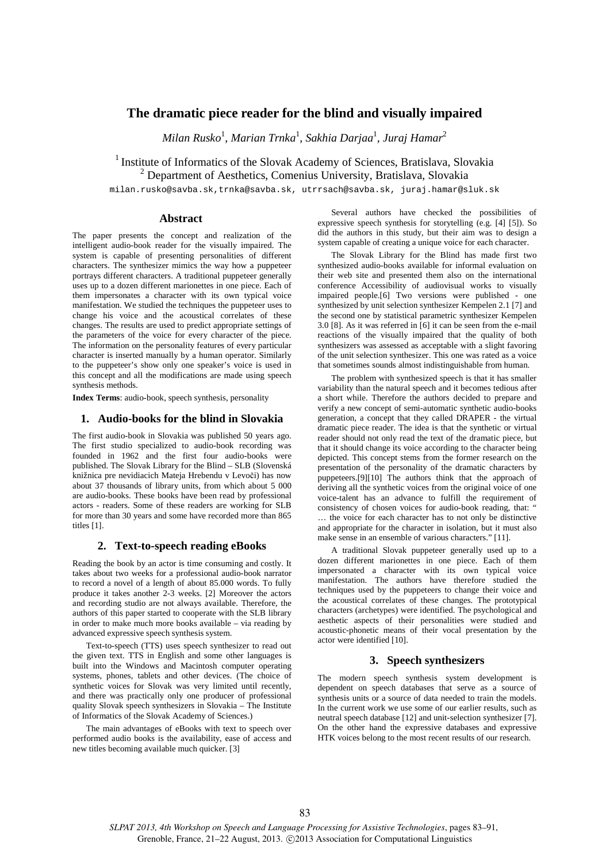# **The dramatic piece reader for the blind and visually impaired**

*Milan Rusko*<sup>1</sup> *, Marian Trnka*<sup>1</sup> *, Sakhia Darjaa*<sup>1</sup> *, Juraj Hamar*<sup>2</sup>

<sup>1</sup> Institute of Informatics of the Slovak Academy of Sciences, Bratislava, Slovakia

<sup>2</sup> Department of Aesthetics, Comenius University, Bratislava, Slovakia

milan.rusko@savba.sk,trnka@savba.sk, utrrsach@savba.sk, juraj.hamar@sluk.sk

## **Abstract**

The paper presents the concept and realization of the intelligent audio-book reader for the visually impaired. The system is capable of presenting personalities of different characters. The synthesizer mimics the way how a puppeteer portrays different characters. A traditional puppeteer generally uses up to a dozen different marionettes in one piece. Each of them impersonates a character with its own typical voice manifestation. We studied the techniques the puppeteer uses to change his voice and the acoustical correlates of these changes. The results are used to predict appropriate settings of the parameters of the voice for every character of the piece. The information on the personality features of every particular character is inserted manually by a human operator. Similarly to the puppeteer's show only one speaker's voice is used in this concept and all the modifications are made using speech synthesis methods.

**Index Terms**: audio-book, speech synthesis, personality

## **1. Audio-books for the blind in Slovakia**

The first audio-book in Slovakia was published 50 years ago. The first studio specialized to audio-book recording was founded in 1962 and the first four audio-books were published. The Slovak Library for the Blind – SLB (Slovenská knižnica pre nevidiacich Mateja Hrebendu v Levoči) has now about 37 thousands of library units, from which about 5 000 are audio-books. These books have been read by professional actors - readers. Some of these readers are working for SLB for more than 30 years and some have recorded more than 865 titles [1].

#### **2. Text-to-speech reading eBooks**

Reading the book by an actor is time consuming and costly. It takes about two weeks for a professional audio-book narrator to record a novel of a length of about 85.000 words. To fully produce it takes another 2-3 weeks. [2] Moreover the actors and recording studio are not always available. Therefore, the authors of this paper started to cooperate with the SLB library in order to make much more books available – via reading by advanced expressive speech synthesis system.

Text-to-speech (TTS) uses speech synthesizer to read out the given text. TTS in English and some other languages is built into the Windows and Macintosh computer operating systems, phones, tablets and other devices. (The choice of synthetic voices for Slovak was very limited until recently, and there was practically only one producer of professional quality Slovak speech synthesizers in Slovakia – The Institute of Informatics of the Slovak Academy of Sciences.)

The main advantages of eBooks with text to speech over performed audio books is the availability, ease of access and new titles becoming available much quicker. [3]

Several authors have checked the possibilities of expressive speech synthesis for storytelling (e.g. [4] [5]). So did the authors in this study, but their aim was to design a system capable of creating a unique voice for each character.

The Slovak Library for the Blind has made first two synthesized audio-books available for informal evaluation on their web site and presented them also on the international conference Accessibility of audiovisual works to visually impaired people.[6] Two versions were published - one synthesized by unit selection synthesizer Kempelen 2.1 [7] and the second one by statistical parametric synthesizer Kempelen 3.0 [8]. As it was referred in [6] it can be seen from the e-mail reactions of the visually impaired that the quality of both synthesizers was assessed as acceptable with a slight favoring of the unit selection synthesizer. This one was rated as a voice that sometimes sounds almost indistinguishable from human.

The problem with synthesized speech is that it has smaller variability than the natural speech and it becomes tedious after a short while. Therefore the authors decided to prepare and verify a new concept of semi-automatic synthetic audio-books generation, a concept that they called DRAPER - the virtual dramatic piece reader. The idea is that the synthetic or virtual reader should not only read the text of the dramatic piece, but that it should change its voice according to the character being depicted. This concept stems from the former research on the presentation of the personality of the dramatic characters by puppeteers.[9][10] The authors think that the approach of deriving all the synthetic voices from the original voice of one voice-talent has an advance to fulfill the requirement of consistency of chosen voices for audio-book reading, that: " … the voice for each character has to not only be distinctive and appropriate for the character in isolation, but it must also make sense in an ensemble of various characters." [11].

A traditional Slovak puppeteer generally used up to a dozen different marionettes in one piece. Each of them impersonated a character with its own typical voice manifestation. The authors have therefore studied the techniques used by the puppeteers to change their voice and the acoustical correlates of these changes. The prototypical characters (archetypes) were identified. The psychological and aesthetic aspects of their personalities were studied and acoustic-phonetic means of their vocal presentation by the actor were identified [10].

#### **3. Speech synthesizers**

The modern speech synthesis system development is dependent on speech databases that serve as a source of synthesis units or a source of data needed to train the models. In the current work we use some of our earlier results, such as neutral speech database [12] and unit-selection synthesizer [7]. On the other hand the expressive databases and expressive HTK voices belong to the most recent results of our research.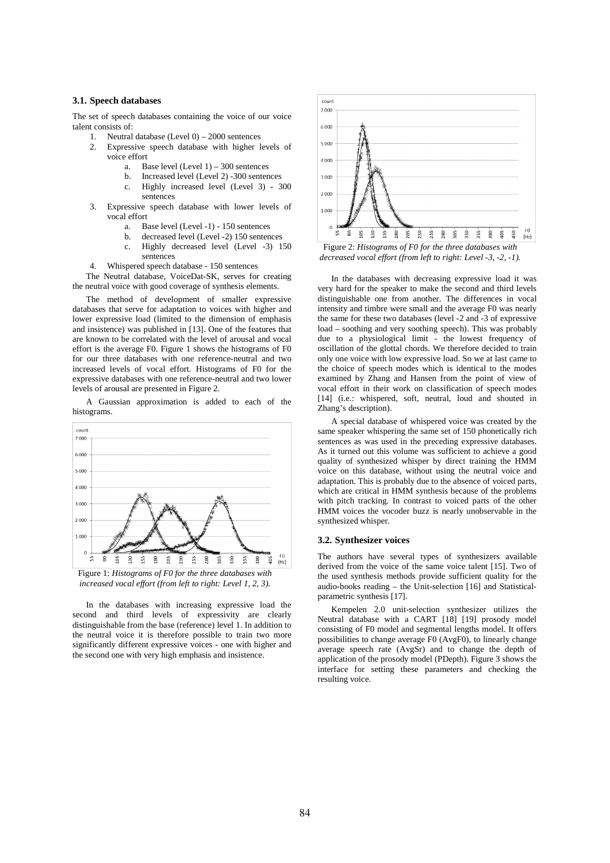### **3.1. Speech databases**

The set of speech databases containing the voice of our voice talent consists of:

- 1. Neutral database (Level 0) 2000 sentences
- Expressive speech database with higher levels of voice effort
	- a. Base level  $(Level 1) 300$  sentences<br>b. Increased level  $(I \text{ evel 2}) 300$  sentences
	- b. Increased level (Level 2) -300 sentences c. Highly increased level (Level 3) - 300 sentences
- 3. Expressive speech database with lower levels of vocal effort
	- a. Base level (Level -1) 150 sentences
	- b. decreased level (Level -2) 150 sentences
	- c. Highly decreased level (Level -3) 150 sentences
- 4. Whispered speech database 150 sentences

The Neutral database, VoiceDat-SK, serves for creating the neutral voice with good coverage of synthesis elements.

The method of development of smaller expressive databases that serve for adaptation to voices with higher and lower expressive load (limited to the dimension of emphasis and insistence) was published in [13]. One of the features that are known to be correlated with the level of arousal and vocal effort is the average F0. Figure 1 shows the histograms of F0 for our three databases with one reference-neutral and two increased levels of vocal effort. Histograms of F0 for the expressive databases with one reference-neutral and two lower levels of arousal are presented in Figure 2.

A Gaussian approximation is added to each of the histograms.





In the databases with increasing expressive load the second and third levels of expressivity are clearly distinguishable from the base (reference) level 1. In addition to the neutral voice it is therefore possible to train two more significantly different expressive voices - one with higher and the second one with very high emphasis and insistence.



*decreased vocal effort (from left to right: Level -3, -2, -1).* 

In the databases with decreasing expressive load it was very hard for the speaker to make the second and third levels distinguishable one from another. The differences in vocal intensity and timbre were small and the average F0 was nearly the same for these two databases (level -2 and -3 of expressive load – soothing and very soothing speech). This was probably due to a physiological limit - the lowest frequency of oscillation of the glottal chords. We therefore decided to train only one voice with low expressive load. So we at last came to the choice of speech modes which is identical to the modes examined by Zhang and Hansen from the point of view of vocal effort in their work on classification of speech modes [14] (i.e.: whispered, soft, neutral, loud and shouted in Zhang's description).

A special database of whispered voice was created by the same speaker whispering the same set of 150 phonetically rich sentences as was used in the preceding expressive databases. As it turned out this volume was sufficient to achieve a good quality of synthesized whisper by direct training the HMM voice on this database, without using the neutral voice and adaptation. This is probably due to the absence of voiced parts, which are critical in HMM synthesis because of the problems with pitch tracking. In contrast to voiced parts of the other HMM voices the vocoder buzz is nearly unobservable in the synthesized whisper.

#### **3.2. Synthesizer voices**

The authors have several types of synthesizers available derived from the voice of the same voice talent [15]. Two of the used synthesis methods provide sufficient quality for the audio-books reading – the Unit-selection [16] and Statisticalparametric synthesis [17].

Kempelen 2.0 unit-selection synthesizer utilizes the Neutral database with a CART [18] [19] prosody model consisting of F0 model and segmental lengths model. It offers possibilities to change average F0 (AvgF0), to linearly change average speech rate (AvgSr) and to change the depth of application of the prosody model (PDepth). Figure 3 shows the interface for setting these parameters and checking the resulting voice.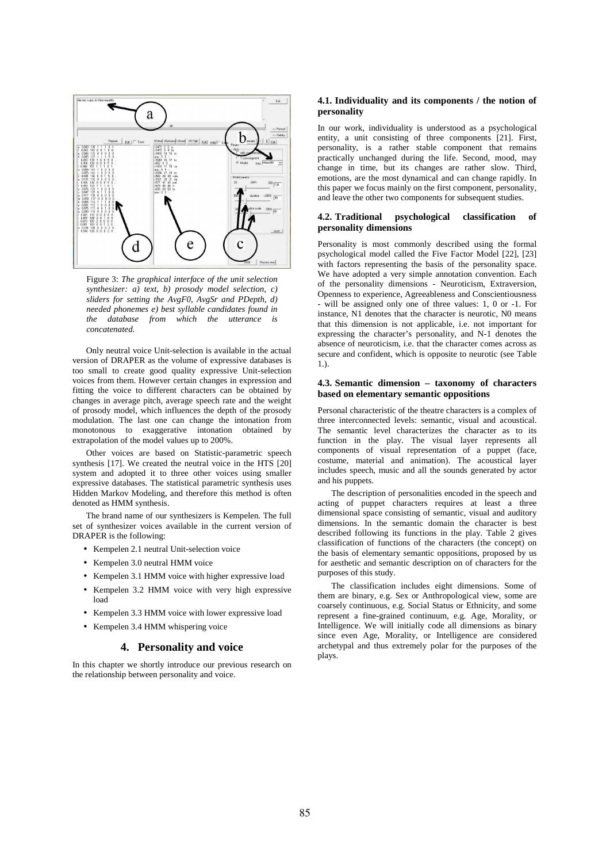

Figure 3: *The graphical interface of the unit selection synthesizer: a) text, b) prosody model selection, c) sliders for setting the AvgF0, AvgSr and PDepth, d) needed phonemes e) best syllable candidates found in the database from which the utterance is concatenated.* 

Only neutral voice Unit-selection is available in the actual version of DRAPER as the volume of expressive databases is too small to create good quality expressive Unit-selection voices from them. However certain changes in expression and fitting the voice to different characters can be obtained by changes in average pitch, average speech rate and the weight of prosody model, which influences the depth of the prosody modulation. The last one can change the intonation from monotonous to exaggerative intonation obtained by extrapolation of the model values up to 200%.

Other voices are based on Statistic-parametric speech synthesis [17]. We created the neutral voice in the HTS [20] system and adopted it to three other voices using smaller expressive databases. The statistical parametric synthesis uses Hidden Markov Modeling, and therefore this method is often denoted as HMM synthesis.

The brand name of our synthesizers is Kempelen. The full set of synthesizer voices available in the current version of DRAPER is the following:

- Kempelen 2.1 neutral Unit-selection voice
- Kempelen 3.0 neutral HMM voice
- Kempelen 3.1 HMM voice with higher expressive load
- Kempelen 3.2 HMM voice with very high expressive load
- Kempelen 3.3 HMM voice with lower expressive load
- Kempelen 3.4 HMM whispering voice

### **4. Personality and voice**

In this chapter we shortly introduce our previous research on the relationship between personality and voice.

#### **4.1. Individuality and its components / the notion of personality**

In our work, individuality is understood as a psychological entity, a unit consisting of three components [21]. First, personality, is a rather stable component that remains practically unchanged during the life. Second, mood, may change in time, but its changes are rather slow. Third, emotions, are the most dynamical and can change rapidly. In this paper we focus mainly on the first component, personality, and leave the other two components for subsequent studies.

#### **4.2. Traditional psychological classification of personality dimensions**

Personality is most commonly described using the formal psychological model called the Five Factor Model [22], [23] with factors representing the basis of the personality space. We have adopted a very simple annotation convention. Each of the personality dimensions - Neuroticism, Extraversion, Openness to experience, Agreeableness and Conscientiousness - will be assigned only one of three values: 1, 0 or -1. For instance, N1 denotes that the character is neurotic, N0 means that this dimension is not applicable, i.e. not important for expressing the character's personality, and N-1 denotes the absence of neuroticism, i.e. that the character comes across as secure and confident, which is opposite to neurotic (see Table 1.).

#### **4.3. Semantic dimension – taxonomy of characters based on elementary semantic oppositions**

Personal characteristic of the theatre characters is a complex of three interconnected levels: semantic, visual and acoustical. The semantic level characterizes the character as to its function in the play. The visual layer represents all components of visual representation of a puppet (face, costume, material and animation). The acoustical layer includes speech, music and all the sounds generated by actor and his puppets.

The description of personalities encoded in the speech and acting of puppet characters requires at least a three dimensional space consisting of semantic, visual and auditory dimensions. In the semantic domain the character is best described following its functions in the play. Table 2 gives classification of functions of the characters (the concept) on the basis of elementary semantic oppositions, proposed by us for aesthetic and semantic description on of characters for the purposes of this study.

The classification includes eight dimensions. Some of them are binary, e.g. Sex or Anthropological view, some are coarsely continuous, e.g. Social Status or Ethnicity, and some represent a fine-grained continuum, e.g. Age, Morality, or Intelligence. We will initially code all dimensions as binary since even Age, Morality, or Intelligence are considered archetypal and thus extremely polar for the purposes of the plays.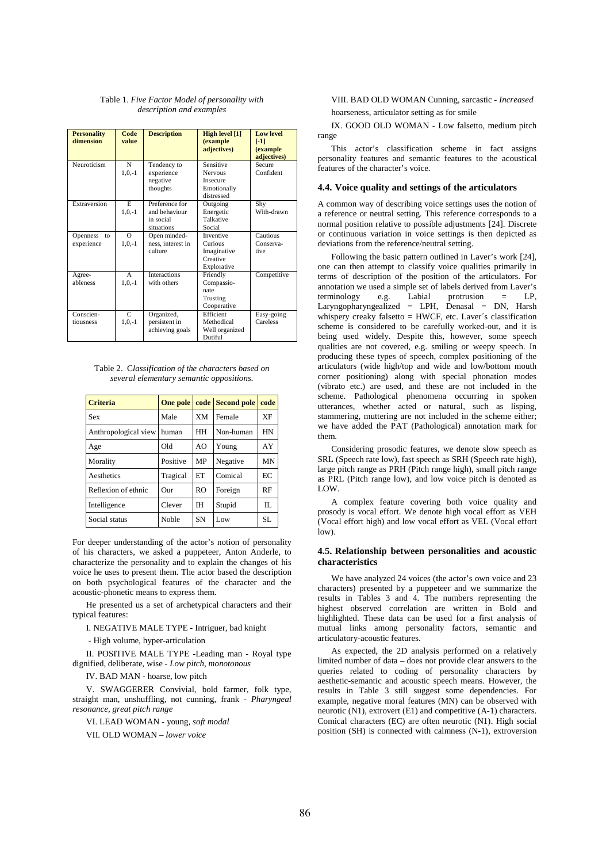Table 1. *Five Factor Model of personality with description and examples* 

| <b>Personality</b><br>dimension | Code<br>value | <b>Description</b>  | High level [1]<br>(example<br>adjectives) | <b>Low level</b><br>$[ -1]$<br>(example<br>adjectives) |
|---------------------------------|---------------|---------------------|-------------------------------------------|--------------------------------------------------------|
| Neuroticism                     | N             | Tendency to         | Sensitive                                 | Secure                                                 |
|                                 | $1, 0, -1$    | experience          | <b>Nervous</b>                            | Confident                                              |
|                                 |               | negative            | <b>Insecure</b>                           |                                                        |
|                                 |               | thoughts            | Emotionally                               |                                                        |
|                                 |               |                     | distressed                                |                                                        |
| Extraversion                    | E             | Preference for      | Outgoing                                  | Shy                                                    |
|                                 | $1, 0, -1$    | and behaviour       | Energetic                                 | With-drawn                                             |
|                                 |               | in social           | Talkative                                 |                                                        |
|                                 |               | situations          | Social                                    |                                                        |
| Openness<br>to                  | $\Omega$      | Open minded-        | Inventive                                 | Cautious                                               |
| experience                      | $1, 0, -1$    | ness, interest in   | Curious                                   | Conserva-                                              |
|                                 |               | culture             | Imaginative                               | tive                                                   |
|                                 |               |                     | Creative                                  |                                                        |
|                                 |               |                     | Explorative                               |                                                        |
| Agree-                          | $\mathsf{A}$  | <b>Interactions</b> | Friendly                                  | Competitive                                            |
| ableness                        | $1, 0, -1$    | with others         | Compassio-                                |                                                        |
|                                 |               |                     | nate                                      |                                                        |
|                                 |               |                     | Trusting                                  |                                                        |
|                                 |               |                     | Cooperative                               |                                                        |
| Conscien-                       | $\mathcal{C}$ | Organized,          | Efficient                                 | Easy-going                                             |
| tiousness                       | $1, 0, -1$    | persistent in       | Methodical                                | Careless                                               |
|                                 |               | achieving goals     | Well organized                            |                                                        |
|                                 |               |                     | Dutiful                                   |                                                        |

Table 2. C*lassification of the characters based on several elementary semantic oppositions.* 

| <b>Criteria</b>      | One pole     |                | code Second pole | code      |
|----------------------|--------------|----------------|------------------|-----------|
| Sex                  | Male         | <b>XM</b>      | Female           | <b>XF</b> |
| Anthropological view | human        | HH             | Non-human        | HN        |
| Age                  | Old          | AO             | Young            | AY        |
| Morality             | Positive     | MP             | Negative         | MN        |
| Aesthetics           | Tragical     | ET             | Comical          | ЕC        |
| Reflexion of ethnic  | $_{\rm Our}$ | R <sub>O</sub> | Foreign          | RF        |
| Intelligence         | Clever       | ĪН             | Stupid           | Π.        |
| Social status        | Noble        | <b>SN</b>      | Low              | SL        |

For deeper understanding of the actor's notion of personality of his characters, we asked a puppeteer, Anton Anderle, to characterize the personality and to explain the changes of his voice he uses to present them. The actor based the description on both psychological features of the character and the acoustic-phonetic means to express them.

He presented us a set of archetypical characters and their typical features:

I. NEGATIVE MALE TYPE - Intriguer, bad knight

- High volume, hyper-articulation

II. POSITIVE MALE TYPE -Leading man - Royal type dignified, deliberate, wise - *Low pitch, monotonous*

IV. BAD MAN - hoarse, low pitch

V. SWAGGERER Convivial, bold farmer, folk type, straight man, unshuffling, not cunning, frank - *Pharyngeal resonance, great pitch range* 

VI. LEAD WOMAN - young, *soft modal*

VII. OLD WOMAN – *lower voice*

VIII. BAD OLD WOMAN Cunning, sarcastic - *Increased*  hoarseness, articulator setting as for smile

IX. GOOD OLD WOMAN - Low falsetto, medium pitch range

This actor's classification scheme in fact assigns personality features and semantic features to the acoustical features of the character's voice.

#### **4.4. Voice quality and settings of the articulators**

A common way of describing voice settings uses the notion of a reference or neutral setting. This reference corresponds to a normal position relative to possible adjustments [24]. Discrete or continuous variation in voice settings is then depicted as deviations from the reference/neutral setting.

Following the basic pattern outlined in Laver's work [24], one can then attempt to classify voice qualities primarily in terms of description of the position of the articulators. For annotation we used a simple set of labels derived from Laver's terminology  $e.g.$  Labial protrusion  $=$  LP,  $terminology$  e.g. Labial protrusion = Laryngopharyngealized = LPH, Denasal = DN, Harsh whispery creaky falsetto = HWCF, etc. Laver's classification scheme is considered to be carefully worked-out, and it is being used widely. Despite this, however, some speech qualities are not covered, e.g. smiling or weepy speech. In producing these types of speech, complex positioning of the articulators (wide high/top and wide and low/bottom mouth corner positioning) along with special phonation modes (vibrato etc.) are used, and these are not included in the scheme. Pathological phenomena occurring in spoken utterances, whether acted or natural, such as lisping, stammering, muttering are not included in the scheme either; we have added the PAT (Pathological) annotation mark for them.

Considering prosodic features, we denote slow speech as SRL (Speech rate low), fast speech as SRH (Speech rate high), large pitch range as PRH (Pitch range high), small pitch range as PRL (Pitch range low), and low voice pitch is denoted as LOW.

A complex feature covering both voice quality and prosody is vocal effort. We denote high vocal effort as VEH (Vocal effort high) and low vocal effort as VEL (Vocal effort low).

#### **4.5. Relationship between personalities and acoustic characteristics**

We have analyzed 24 voices (the actor's own voice and 23 characters) presented by a puppeteer and we summarize the results in Tables 3 and 4. The numbers representing the highest observed correlation are written in Bold and highlighted. These data can be used for a first analysis of mutual links among personality factors, semantic and articulatory-acoustic features.

As expected, the 2D analysis performed on a relatively limited number of data – does not provide clear answers to the queries related to coding of personality characters by aesthetic-semantic and acoustic speech means. However, the results in Table 3 still suggest some dependencies. For example, negative moral features (MN) can be observed with neurotic (N1), extrovert (E1) and competitive (A-1) characters. Comical characters (EC) are often neurotic (N1). High social position (SH) is connected with calmness (N-1), extroversion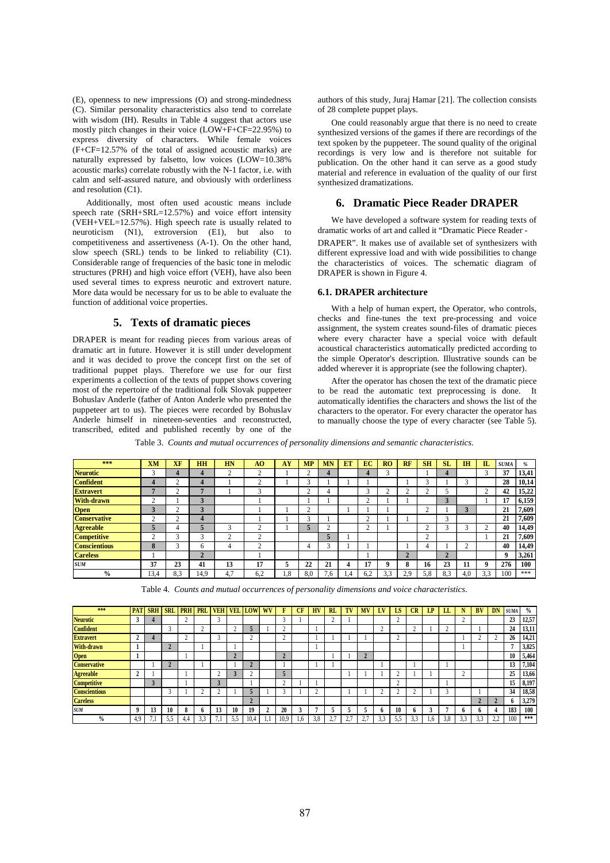(E), openness to new impressions (O) and strong-mindedness (C). Similar personality characteristics also tend to correlate with wisdom (IH). Results in Table 4 suggest that actors use mostly pitch changes in their voice (LOW+F+CF=22.95%) to express diversity of characters. While female voices (F+CF=12.57% of the total of assigned acoustic marks) are naturally expressed by falsetto, low voices (LOW=10.38% acoustic marks) correlate robustly with the N-1 factor, i.e. with calm and self-assured nature, and obviously with orderliness and resolution (C1).

Additionally, most often used acoustic means include speech rate  $(SRH+SRL=12.57%)$  and voice effort intensity (VEH+VEL=12.57%). High speech rate is usually related to neuroticism (N1), extroversion (E1), but also to competitiveness and assertiveness (A-1). On the other hand, slow speech (SRL) tends to be linked to reliability (C1). Considerable range of frequencies of the basic tone in melodic structures (PRH) and high voice effort (VEH), have also been used several times to express neurotic and extrovert nature. More data would be necessary for us to be able to evaluate the function of additional voice properties.

## **5. Texts of dramatic pieces**

DRAPER is meant for reading pieces from various areas of dramatic art in future. However it is still under development and it was decided to prove the concept first on the set of traditional puppet plays. Therefore we use for our first experiments a collection of the texts of puppet shows covering most of the repertoire of the traditional folk Slovak puppeteer Bohuslav Anderle (father of Anton Anderle who presented the puppeteer art to us). The pieces were recorded by Bohuslav Anderle himself in nineteen-seventies and reconstructed, transcribed, edited and published recently by one of the authors of this study, Juraj Hamar [21]. The collection consists of 28 complete puppet plays.

One could reasonably argue that there is no need to create synthesized versions of the games if there are recordings of the text spoken by the puppeteer. The sound quality of the original recordings is very low and is therefore not suitable for publication. On the other hand it can serve as a good study material and reference in evaluation of the quality of our first synthesized dramatizations.

## **6. Dramatic Piece Reader DRAPER**

We have developed a software system for reading texts of dramatic works of art and called it "Dramatic Piece Reader -

DRAPER". It makes use of available set of synthesizers with different expressive load and with wide possibilities to change the characteristics of voices. The schematic diagram of DRAPER is shown in Figure 4.

#### **6.1. DRAPER architecture**

With a help of human expert, the Operator, who controls, checks and fine-tunes the text pre-processing and voice assignment, the system creates sound-files of dramatic pieces where every character have a special voice with default acoustical characteristics automatically predicted according to the simple Operator's description. Illustrative sounds can be added wherever it is appropriate (see the following chapter).

After the operator has chosen the text of the dramatic piece to be read the automatic text preprocessing is done. It automatically identifies the characters and shows the list of the characters to the operator. For every character the operator has to manually choose the type of every character (see Table 5).

Table 3. *Counts and mutual occurrences of personality dimensions and semantic characteristics.* 

| ***                  | <b>XM</b> | XF     | <b>HH</b> | <b>HN</b> | A <sub>O</sub> | AY  | <b>MP</b> | <b>MN</b> | ET  | EC     | <b>RO</b> | <b>RF</b> | <b>SH</b>   | <b>SL</b> | IH     | $\mathbf{L}$ | <b>SUMA</b> | $\frac{a}{2}$ |
|----------------------|-----------|--------|-----------|-----------|----------------|-----|-----------|-----------|-----|--------|-----------|-----------|-------------|-----------|--------|--------------|-------------|---------------|
| <b>Neurotic</b>      | 3         |        |           | $\sim$    | $\sim$         |     | ◠         | 4         |     | 4      |           |           |             | 4         |        |              | 37          | 13,41         |
| <b>Confident</b>     |           |        |           |           | $\sim$         |     | $\sim$    |           |     |        |           |           | $\sim$<br>3 |           | $\sim$ |              | 28          | 10,14         |
| <b>Extravert</b>     |           |        |           |           | $\sim$         |     | $\sim$    |           |     | $\sim$ |           | ◠         | $\sim$      |           |        | $\sim$       | 42          | 15,22         |
| <b>With-drawn</b>    | n         |        | 3         |           |                |     |           |           |     | $\sim$ |           |           |             | σ         |        |              | 17          | 6,159         |
| Open<br>Conservative |           |        |           |           |                |     | ⌒         |           |     |        |           |           | $\sim$      |           |        |              | 21          | 7,609         |
|                      | $\sim$    | $\sim$ | 4         |           |                |     | $\sim$    |           |     | $\sim$ |           |           |             | $\sim$    |        |              | 21          | 7,609         |
| <b>Agreeable</b>     |           |        |           |           | $\sim$         |     | 5         | Δ         |     | $\sim$ |           |           | n           |           | $\sim$ | $\sim$       | 40          | 14,49         |
| <b>Competitive</b>   |           |        | $\sim$    |           | $\sim$         |     |           | 5         |     |        |           |           | ◠           |           |        |              | 21          | 7,609         |
| <b>Conscientious</b> | 8         |        | h.        | 4         | $\sim$         |     | 4         | c         |     |        |           |           |             |           | Δ      |              | 40          | 14,49         |
| <b>Careless</b>      |           |        | $\bullet$ |           |                |     |           |           |     |        |           | ↑<br>∠    |             | ◠<br>z.   |        |              | 9           | 3,261         |
| <b>SUM</b>           | 37        | 23     | 41        | 13        | 17             | 5   | 22        | 21        | 4   | 17     | Q         | 8         | 16          | 23        | 11     | 9            | 276         | 100           |
| $\frac{0}{0}$        | 13,4      | 8,3    | 14,9      | 4,7       | 6,2            | 1.8 | 8,0       | .6        | 1.4 | 6,2    | 3,3       | 2.9       | 5,8         | 8,3       | 4,0    | 3.3          | 100         | ***           |

Table 4. *Counts and mutual occurrences of personality dimensions and voice characteristics.* 

| ***                  | <b>PAT</b> | <b>SRH</b> | <b>SRL</b> | <b>PRH</b> | <b>PRL</b> | <b>VEH</b>     | <b>VEL</b> | <b>LOW</b> | WV | F        | CF  | <b>HV</b> | <b>RL</b>             | TV | <b>MV</b>    | LV | LS     | CR  | LP | LL       |     | <b>BV</b> | DN                     | <b>SUMA</b> | $\frac{0}{0}$ |
|----------------------|------------|------------|------------|------------|------------|----------------|------------|------------|----|----------|-----|-----------|-----------------------|----|--------------|----|--------|-----|----|----------|-----|-----------|------------------------|-------------|---------------|
| <b>Neurotic</b>      |            |            |            | $\Delta$   |            | $\sim$         |            |            |    | $\sim$   |     |           |                       |    |              |    | $\sim$ |     |    |          |     |           |                        | 23          | 12,57         |
| <b>Confident</b>     |            |            |            |            |            |                |            |            |    | $\Delta$ |     |           |                       |    |              |    |        |     |    | $\Delta$ |     |           |                        | 24          | 13,11         |
| <b>Extravert</b>     | ▵          |            |            | c          |            |                |            |            |    | $\sim$   |     |           |                       |    |              |    |        |     |    |          |     |           |                        | 26          | 14,21         |
| With-drawn           |            |            |            |            |            |                |            |            |    |          |     |           |                       |    |              |    |        |     |    |          |     |           |                        |             | 3,825         |
| <b>Open</b>          |            |            |            |            |            |                | $\sim$     |            |    |          |     |           |                       |    |              |    |        |     |    |          |     |           |                        | 10          | 5,464         |
| <b>Conservative</b>  |            |            |            |            |            |                |            |            |    |          |     |           |                       |    |              |    |        |     |    |          |     |           |                        | 13          | 7,104         |
| <b>Agreeable</b>     | ▵          |            |            |            |            |                |            |            |    |          |     |           |                       |    |              |    |        |     |    |          |     |           |                        | 25          | 13,66         |
| <b>Competitive</b>   |            |            |            |            |            |                |            |            |    | $\Delta$ |     |           |                       |    |              |    | C      |     |    |          |     |           |                        | 15          | 8,197         |
| <b>Conscientious</b> |            |            |            |            |            |                |            |            |    | ⌒        |     | ◠         |                       |    |              |    | $\sim$ |     |    | 3        |     |           |                        | 34          | 18,58         |
| <b>Careless</b>      |            |            |            |            |            |                |            |            |    |          |     |           |                       |    |              |    |        |     |    |          |     |           |                        | n           | 3,279         |
| <b>SUM</b>           | Q          | 13         | 10         | 8          | n          | 13             | 10         | 19         | 2  | 20       |     | п         |                       |    |              |    | 10     | n   |    | е        |     | n         |                        | 183         | 100           |
| $\frac{0}{0}$        | 4.9        | ٠          | 5.5        | 4.4        | 3.3        | $\overline{ }$ | 5.5        | 10,4       |    | 10,9     | 1,6 | 3.8       | . .<br>$\Delta$<br>٠. |    | 27<br>$\sim$ |    | 5.5    | د.ر |    | 3.8      | 3.3 | 3.3       | 22<br>$\angle, \angle$ | 100         | ***           |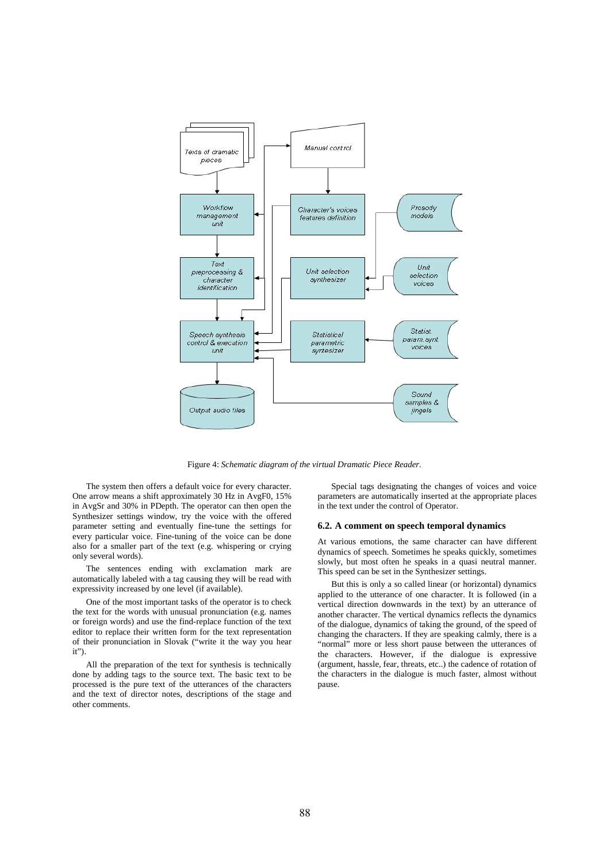

Figure 4: *Schematic diagram of the virtual Dramatic Piece Reader.*

The system then offers a default voice for every character. One arrow means a shift approximately 30 Hz in AvgF0, 15% in AvgSr and 30% in PDepth. The operator can then open the Synthesizer settings window, try the voice with the offered parameter setting and eventually fine-tune the settings for every particular voice. Fine-tuning of the voice can be done also for a smaller part of the text (e.g. whispering or crying only several words).

The sentences ending with exclamation mark are automatically labeled with a tag causing they will be read with expressivity increased by one level (if available).

One of the most important tasks of the operator is to check the text for the words with unusual pronunciation (e.g. names or foreign words) and use the find-replace function of the text editor to replace their written form for the text representation of their pronunciation in Slovak ("write it the way you hear it").

All the preparation of the text for synthesis is technically done by adding tags to the source text. The basic text to be processed is the pure text of the utterances of the characters and the text of director notes, descriptions of the stage and other comments.

Special tags designating the changes of voices and voice parameters are automatically inserted at the appropriate places in the text under the control of Operator.

#### **6.2. A comment on speech temporal dynamics**

At various emotions, the same character can have different dynamics of speech. Sometimes he speaks quickly, sometimes slowly, but most often he speaks in a quasi neutral manner. This speed can be set in the Synthesizer settings.

But this is only a so called linear (or horizontal) dynamics applied to the utterance of one character. It is followed (in a vertical direction downwards in the text) by an utterance of another character. The vertical dynamics reflects the dynamics of the dialogue, dynamics of taking the ground, of the speed of changing the characters. If they are speaking calmly, there is a "normal" more or less short pause between the utterances of the characters. However, if the dialogue is expressive (argument, hassle, fear, threats, etc..) the cadence of rotation of the characters in the dialogue is much faster, almost without pause.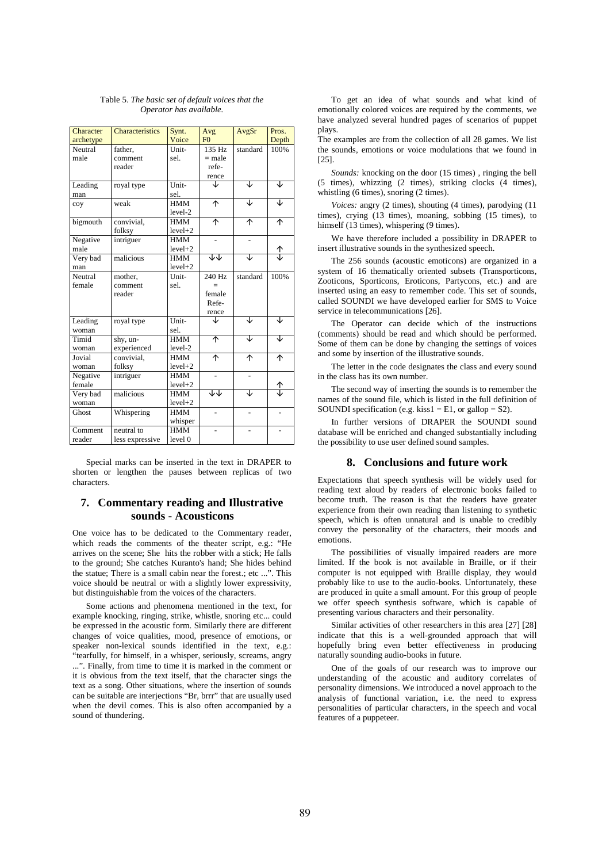| Character | <b>Characteristics</b> | Synt.      | Avg            | AvgSr    | Pros. |
|-----------|------------------------|------------|----------------|----------|-------|
| archetype |                        | Voice      | F <sub>0</sub> |          | Depth |
| Neutral   | father,                | Unit-      | 135 Hz         | standard | 100%  |
| male      | comment                | sel.       | $=$ male       |          |       |
|           | reader                 |            | refe-          |          |       |
|           |                        |            | rence          |          |       |
| Leading   | royal type             | Unit-      | J              | J        | J     |
| man       |                        | sel.       |                |          |       |
| coy       | weak                   | HMM        | ↑              | ↓        | J     |
|           |                        | level-2    |                |          |       |
| bigmouth  | convivial,             | <b>HMM</b> | ኍ              | ሳ        | ተ     |
|           | folksy                 | $level+2$  |                |          |       |
| Negative  | intriguer              | <b>HMM</b> |                |          |       |
| male      |                        | $level+2$  |                |          | ≙     |
| Very bad  | malicious              | <b>HMM</b> | ↓↓             | J        |       |
| man       |                        | $level+2$  |                |          |       |
| Neutral   | mother,                | Unit-      | 240 Hz         | standard | 100%  |
| female    | comment                | sel.       |                |          |       |
|           | reader                 |            | female         |          |       |
|           |                        |            | Refe-          |          |       |
|           |                        |            | rence          |          |       |
| Leading   | royal type             | Unit-      | J              | J        | J     |
| woman     |                        | sel.       |                |          |       |
| Timid     | shy, un-               | <b>HMM</b> | ኍ              | J        | J     |
| woman     | experienced            | level-2    |                |          |       |
| Jovial    | convivial.             | <b>HMM</b> | ኍ              | ኍ        | ተ     |
| woman     | folksy                 | $level+2$  |                |          |       |
| Negative  | intriguer              | <b>HMM</b> |                |          |       |
| female    |                        | $level+2$  |                |          | 1     |
| Very bad  | malicious              | <b>HMM</b> | ∻              | J        |       |
| woman     |                        | $level+2$  |                |          |       |
| Ghost     | Whispering             | <b>HMM</b> |                |          |       |
|           |                        | whisper    |                |          |       |
| Comment   | neutral to             | <b>HMM</b> |                |          |       |
| reader    | less expressive        | level 0    |                |          |       |

Table 5. *The basic set of default voices that the Operator has available.* 

Special marks can be inserted in the text in DRAPER to shorten or lengthen the pauses between replicas of two characters.

# **7. Commentary reading and Illustrative sounds - Acousticons**

One voice has to be dedicated to the Commentary reader, which reads the comments of the theater script, e.g.: "He arrives on the scene; She hits the robber with a stick; He falls to the ground; She catches Kuranto's hand; She hides behind the statue; There is a small cabin near the forest.; etc ...". This voice should be neutral or with a slightly lower expressivity, but distinguishable from the voices of the characters.

Some actions and phenomena mentioned in the text, for example knocking, ringing, strike, whistle, snoring etc... could be expressed in the acoustic form. Similarly there are different changes of voice qualities, mood, presence of emotions, or speaker non-lexical sounds identified in the text, e.g.: "tearfully, for himself, in a whisper, seriously, screams, angry ...". Finally, from time to time it is marked in the comment or it is obvious from the text itself, that the character sings the text as a song. Other situations, where the insertion of sounds can be suitable are interjections "Br, brrr" that are usually used when the devil comes. This is also often accompanied by a sound of thundering.

To get an idea of what sounds and what kind of emotionally colored voices are required by the comments, we have analyzed several hundred pages of scenarios of puppet plays.

The examples are from the collection of all 28 games. We list the sounds, emotions or voice modulations that we found in [25].

*Sounds:* knocking on the door (15 times) , ringing the bell (5 times), whizzing (2 times), striking clocks (4 times), whistling (6 times), snoring (2 times).

*Voices:* angry (2 times), shouting (4 times), parodying (11 times), crying (13 times), moaning, sobbing (15 times), to himself (13 times), whispering (9 times).

We have therefore included a possibility in DRAPER to insert illustrative sounds in the synthesized speech.

The 256 sounds (acoustic emoticons) are organized in a system of 16 thematically oriented subsets (Transporticons, Zooticons, Sporticons, Eroticons, Partycons, etc.) and are inserted using an easy to remember code. This set of sounds, called SOUNDI we have developed earlier for SMS to Voice service in telecommunications [26].

The Operator can decide which of the instructions (comments) should be read and which should be performed. Some of them can be done by changing the settings of voices and some by insertion of the illustrative sounds.

The letter in the code designates the class and every sound in the class has its own number.

The second way of inserting the sounds is to remember the names of the sound file, which is listed in the full definition of SOUNDI specification (e.g. kiss $1 = E1$ , or gallop = S2).

In further versions of DRAPER the SOUNDI sound database will be enriched and changed substantially including the possibility to use user defined sound samples.

#### **8. Conclusions and future work**

Expectations that speech synthesis will be widely used for reading text aloud by readers of electronic books failed to become truth. The reason is that the readers have greater experience from their own reading than listening to synthetic speech, which is often unnatural and is unable to credibly convey the personality of the characters, their moods and emotions.

The possibilities of visually impaired readers are more limited. If the book is not available in Braille, or if their computer is not equipped with Braille display, they would probably like to use to the audio-books. Unfortunately, these are produced in quite a small amount. For this group of people we offer speech synthesis software, which is capable of presenting various characters and their personality.

Similar activities of other researchers in this area [27] [28] indicate that this is a well-grounded approach that will hopefully bring even better effectiveness in producing naturally sounding audio-books in future.

One of the goals of our research was to improve our understanding of the acoustic and auditory correlates of personality dimensions. We introduced a novel approach to the analysis of functional variation, i.e. the need to express personalities of particular characters, in the speech and vocal features of a puppeteer.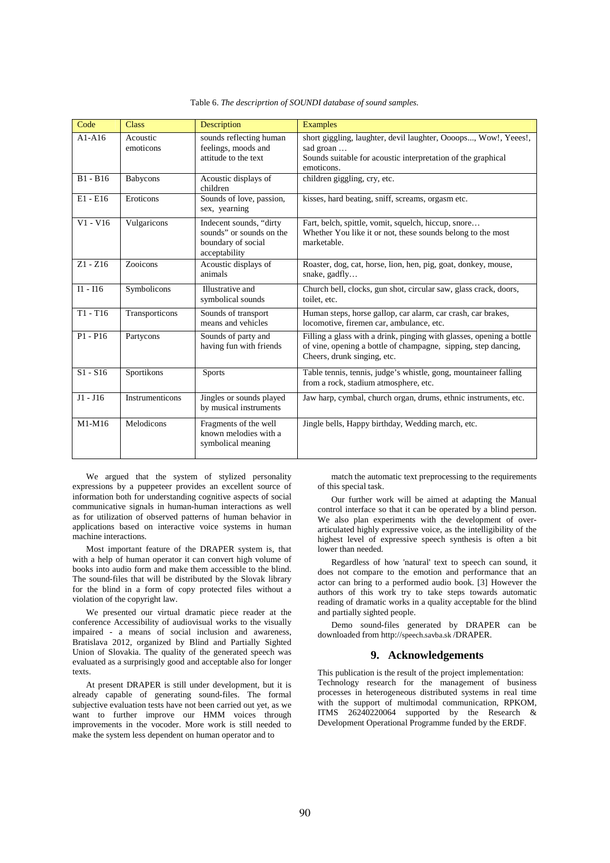| Code       | <b>Class</b>          | <b>Description</b>                                                                         | <b>Examples</b>                                                                                                                                                       |
|------------|-----------------------|--------------------------------------------------------------------------------------------|-----------------------------------------------------------------------------------------------------------------------------------------------------------------------|
| $A1-A16$   | Acoustic<br>emoticons | sounds reflecting human<br>feelings, moods and<br>attitude to the text                     | short giggling, laughter, devil laughter, Oooops, Wow!, Yeees!,<br>sad groan<br>Sounds suitable for acoustic interpretation of the graphical<br>emoticons.            |
| $B1 - B16$ | Babycons              | Acoustic displays of<br>children                                                           | children giggling, cry, etc.                                                                                                                                          |
| $E1 - E16$ | Eroticons             | Sounds of love, passion,<br>sex, yearning                                                  | kisses, hard beating, sniff, screams, orgasm etc.                                                                                                                     |
| $V1 - V16$ | Vulgaricons           | Indecent sounds, "dirty<br>sounds" or sounds on the<br>boundary of social<br>acceptability | Fart, belch, spittle, vomit, squelch, hiccup, snore<br>Whether You like it or not, these sounds belong to the most<br>marketable.                                     |
| $Z1 - Z16$ | Zooicons              | Acoustic displays of<br>animals                                                            | Roaster, dog, cat, horse, lion, hen, pig, goat, donkey, mouse,<br>snake, gadfly                                                                                       |
| $I1 - I16$ | Symbolicons           | Illustrative and<br>symbolical sounds                                                      | Church bell, clocks, gun shot, circular saw, glass crack, doors,<br>toilet, etc.                                                                                      |
| $T1 - T16$ | Transporticons        | Sounds of transport<br>means and vehicles                                                  | Human steps, horse gallop, car alarm, car crash, car brakes,<br>locomotive, firemen car, ambulance, etc.                                                              |
| $P1 - P16$ | Partycons             | Sounds of party and<br>having fun with friends                                             | Filling a glass with a drink, pinging with glasses, opening a bottle<br>of vine, opening a bottle of champagne, sipping, step dancing,<br>Cheers, drunk singing, etc. |
| $S1 - S16$ | Sportikons            | <b>Sports</b>                                                                              | Table tennis, tennis, judge's whistle, gong, mountaineer falling<br>from a rock, stadium atmosphere, etc.                                                             |
| $J1 - J16$ | Instrumenticons       | Jingles or sounds played<br>by musical instruments                                         | Jaw harp, cymbal, church organ, drums, ethnic instruments, etc.                                                                                                       |
| M1-M16     | Melodicons            | Fragments of the well<br>known melodies with a<br>symbolical meaning                       | Jingle bells, Happy birthday, Wedding march, etc.                                                                                                                     |

Table 6. *The descriprtion of SOUNDI database of sound samples.* 

We argued that the system of stylized personality expressions by a puppeteer provides an excellent source of information both for understanding cognitive aspects of social communicative signals in human-human interactions as well as for utilization of observed patterns of human behavior in applications based on interactive voice systems in human machine interactions.

Most important feature of the DRAPER system is, that with a help of human operator it can convert high volume of books into audio form and make them accessible to the blind. The sound-files that will be distributed by the Slovak library for the blind in a form of copy protected files without a violation of the copyright law.

We presented our virtual dramatic piece reader at the conference Accessibility of audiovisual works to the visually impaired - a means of social inclusion and awareness, Bratislava 2012, organized by Blind and Partially Sighted Union of Slovakia. The quality of the generated speech was evaluated as a surprisingly good and acceptable also for longer texts.

At present DRAPER is still under development, but it is already capable of generating sound-files. The formal subjective evaluation tests have not been carried out yet, as we want to further improve our HMM voices through improvements in the vocoder. More work is still needed to make the system less dependent on human operator and to

match the automatic text preprocessing to the requirements of this special task.

Our further work will be aimed at adapting the Manual control interface so that it can be operated by a blind person. We also plan experiments with the development of overarticulated highly expressive voice, as the intelligibility of the highest level of expressive speech synthesis is often a bit lower than needed.

Regardless of how 'natural' text to speech can sound, it does not compare to the emotion and performance that an actor can bring to a performed audio book. [3] However the authors of this work try to take steps towards automatic reading of dramatic works in a quality acceptable for the blind and partially sighted people.

Demo sound-files generated by DRAPER can be downloaded from http://speech.savba.sk /DRAPER.

## **9. Acknowledgements**

This publication is the result of the project implementation: Technology research for the management of business processes in heterogeneous distributed systems in real time with the support of multimodal communication, RPKOM, ITMS 26240220064 supported by the Research & Development Operational Programme funded by the ERDF.